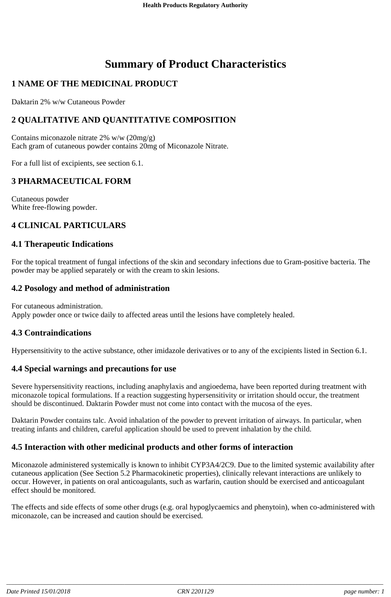# **Summary of Product Characteristics**

# **1 NAME OF THE MEDICINAL PRODUCT**

Daktarin 2% w/w Cutaneous Powder

# **2 QUALITATIVE AND QUANTITATIVE COMPOSITION**

Contains miconazole nitrate 2% w/w (20mg/g) Each gram of cutaneous powder contains 20mg of Miconazole Nitrate.

For a full list of excipients, see section 6.1.

# **3 PHARMACEUTICAL FORM**

Cutaneous powder White free-flowing powder.

### **4 CLINICAL PARTICULARS**

#### **4.1 Therapeutic Indications**

For the topical treatment of fungal infections of the skin and secondary infections due to Gram-positive bacteria. The powder may be applied separately or with the cream to skin lesions.

### **4.2 Posology and method of administration**

For cutaneous administration. Apply powder once or twice daily to affected areas until the lesions have completely healed.

#### **4.3 Contraindications**

Hypersensitivity to the active substance, other imidazole derivatives or to any of the excipients listed in Section 6.1.

### **4.4 Special warnings and precautions for use**

Severe hypersensitivity reactions, including anaphylaxis and angioedema, have been reported during treatment with miconazole topical formulations. If a reaction suggesting hypersensitivity or irritation should occur, the treatment should be discontinued. Daktarin Powder must not come into contact with the mucosa of the eyes.

Daktarin Powder contains talc. Avoid inhalation of the powder to prevent irritation of airways. In particular, when treating infants and children, careful application should be used to prevent inhalation by the child.

### **4.5 Interaction with other medicinal products and other forms of interaction**

Miconazole administered systemically is known to inhibit CYP3A4/2C9. Due to the limited systemic availability after cutaneous application (See Section 5.2 Pharmacokinetic properties), clinically relevant interactions are unlikely to occur. However, in patients on oral anticoagulants, such as warfarin, caution should be exercised and anticoagulant effect should be monitored.

The effects and side effects of some other drugs (e.g. oral hypoglycaemics and phenytoin), when co-administered with miconazole, can be increased and caution should be exercised.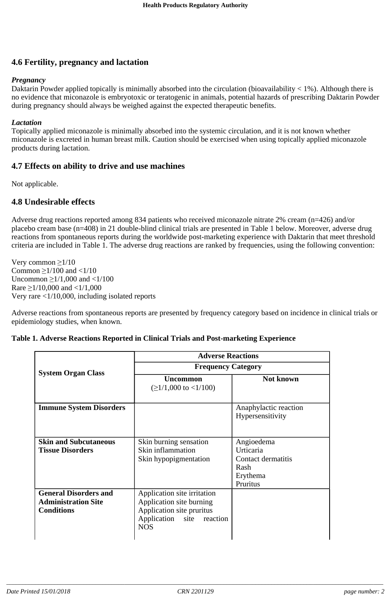### **4.6 Fertility, pregnancy and lactation**

#### *Pregnancy*

Daktarin Powder applied topically is minimally absorbed into the circulation (bioavailability < 1%). Although there is no evidence that miconazole is embryotoxic or teratogenic in animals, potential hazards of prescribing Daktarin Powder during pregnancy should always be weighed against the expected therapeutic benefits.

#### *Lactation*

Topically applied miconazole is minimally absorbed into the systemic circulation, and it is not known whether miconazole is excreted in human breast milk. Caution should be exercised when using topically applied miconazole products during lactation.

### **4.7 Effects on ability to drive and use machines**

Not applicable.

### **4.8 Undesirable effects**

Adverse drug reactions reported among 834 patients who received miconazole nitrate 2% cream (n=426) and/or placebo cream base (n=408) in 21 double-blind clinical trials are presented in Table 1 below. Moreover, adverse drug reactions from spontaneous reports during the worldwide post-marketing experience with Daktarin that meet threshold criteria are included in Table 1. The adverse drug reactions are ranked by frequencies, using the following convention:

Very common  $\geq 1/10$ Common  $\geq$ 1/100 and <1/10 Uncommon  $\geq 1/1,000$  and  $\lt 1/100$ Rare  $\geq$ 1/10,000 and <1/1,000 Very rare <1/10,000, including isolated reports

Adverse reactions from spontaneous reports are presented by frequency category based on incidence in clinical trials or epidemiology studies, when known.

|                                                                                 | <b>Adverse Reactions</b>                                                                                                           |                                                                               |
|---------------------------------------------------------------------------------|------------------------------------------------------------------------------------------------------------------------------------|-------------------------------------------------------------------------------|
| <b>System Organ Class</b>                                                       | <b>Frequency Category</b>                                                                                                          |                                                                               |
|                                                                                 | <b>Uncommon</b><br>$(≥1/1,000$ to <1/100)                                                                                          | <b>Not known</b>                                                              |
| <b>Immune System Disorders</b>                                                  |                                                                                                                                    | Anaphylactic reaction<br>Hypersensitivity                                     |
| <b>Skin and Subcutaneous</b><br><b>Tissue Disorders</b>                         | Skin burning sensation<br>Skin inflammation<br>Skin hypopigmentation                                                               | Angioedema<br>Urticaria<br>Contact dermatitis<br>Rash<br>Erythema<br>Pruritus |
| <b>General Disorders and</b><br><b>Administration Site</b><br><b>Conditions</b> | Application site irritation<br>Application site burning<br>Application site pruritus<br>Application site<br>reaction<br><b>NOS</b> |                                                                               |

| Table 1. Adverse Reactions Reported in Clinical Trials and Post-marketing Experience |  |  |
|--------------------------------------------------------------------------------------|--|--|
|                                                                                      |  |  |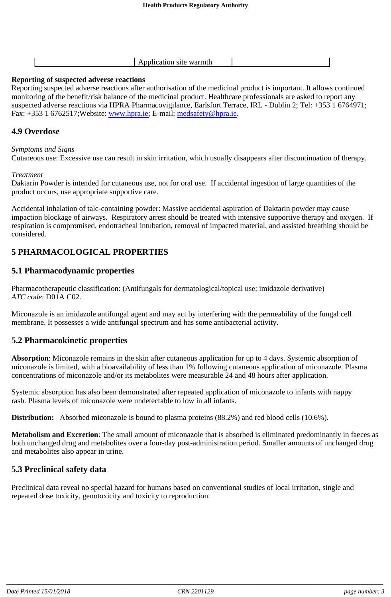|--|

#### **Reporting of suspected adverse reactions**

Reporting suspected adverse reactions after authorisation of the medicinal product is important. It allows continued monitoring of the benefit/risk balance of the medicinal product. Healthcare professionals are asked to report any suspected adverse reactions via HPRA Pharmacovigilance, Earlsfort Terrace, IRL - Dublin 2; Tel: +353 1 6764971; Fax: +353 1 6762517; Website: www.hpra.ie; E-mail: medsafety@hpra.ie.

### **4.9 Overdose**

#### *Symptoms and Signs*

Cutaneous use: Excessive use can result in skin irritation, which usually disappears after discontinuation of therapy.

#### *Treatment*

Daktarin Powder is intended for cutaneous use, not for oral use. If accidental ingestion of large quantities of the product occurs, use appropriate supportive care.

Accidental inhalation of talc-containing powder: Massive accidental aspiration of Daktarin powder may cause impaction blockage of airways. Respiratory arrest should be treated with intensive supportive therapy and oxygen. If respiration is compromised, endotracheal intubation, removal of impacted material, and assisted breathing should be considered.

# **5 PHARMACOLOGICAL PROPERTIES**

### **5.1 Pharmacodynamic properties**

Pharmacotherapeutic classification: (Antifungals for dermatological/topical use; imidazole derivative) *ATC code*: D01A C02.

Miconazole is an imidazole antifungal agent and may act by interfering with the permeability of the fungal cell membrane. It possesses a wide antifungal spectrum and has some antibacterial activity.

### **5.2 Pharmacokinetic properties**

**Absorption**: Miconazole remains in the skin after cutaneous application for up to 4 days. Systemic absorption of miconazole is limited, with a bioavailability of less than 1% following cutaneous application of miconazole. Plasma concentrations of miconazole and/or its metabolites were measurable 24 and 48 hours after application.

Systemic absorption has also been demonstrated after repeated application of miconazole to infants with nappy rash. Plasma levels of miconazole were undetectable to low in all infants.

**Distribution:** Absorbed miconazole is bound to plasma proteins (88.2%) and red blood cells (10.6%).

**Metabolism and Excretion**: The small amount of miconazole that is absorbed is eliminated predominantly in faeces as both unchanged drug and metabolites over a four-day post-administration period. Smaller amounts of unchanged drug and metabolites also appear in urine.

### **5.3 Preclinical safety data**

Preclinical data reveal no special hazard for humans based on conventional studies of local irritation, single and repeated dose toxicity, genotoxicity and toxicity to reproduction.